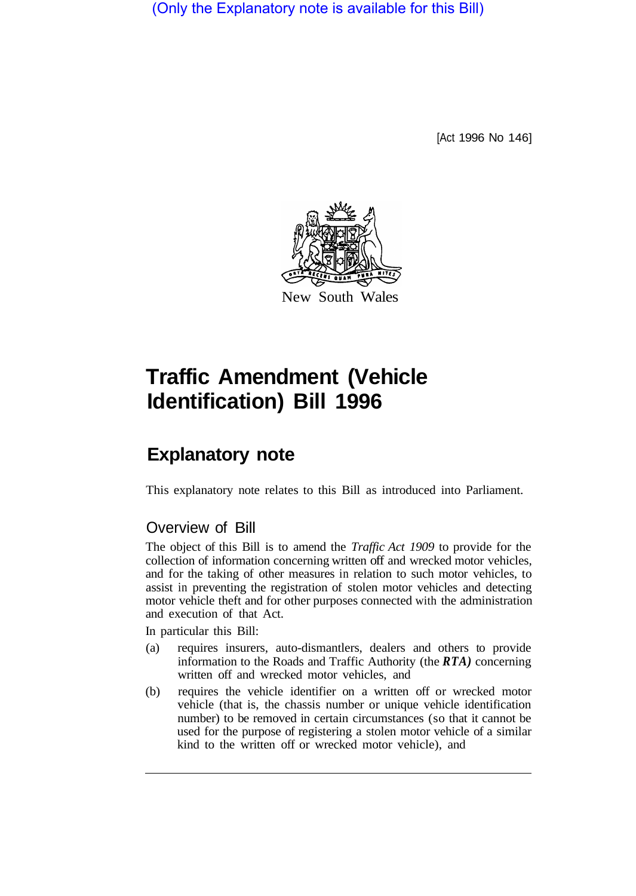(Only the Explanatory note is available for this Bill)

[Act 1996 No 146]



# **Traffic Amendment (Vehicle Identification) Bill 1996**

## **Explanatory note**

This explanatory note relates to this Bill as introduced into Parliament.

### Overview of Bill

The object of this Bill is to amend the *Traffic Act 1909* to provide for the collection of information concerning written off and wrecked motor vehicles, and for the taking of other measures in relation to such motor vehicles, to assist in preventing the registration of stolen motor vehicles and detecting motor vehicle theft and for other purposes connected with the administration and execution of that Act.

In particular this Bill:

- (a) requires insurers, auto-dismantlers, dealers and others to provide information to the Roads and Traffic Authority (the *RTA)* concerning written off and wrecked motor vehicles, and
- (b) requires the vehicle identifier on a written off or wrecked motor vehicle (that is, the chassis number or unique vehicle identification number) to be removed in certain circumstances (so that it cannot be used for the purpose of registering a stolen motor vehicle of a similar kind to the written off or wrecked motor vehicle), and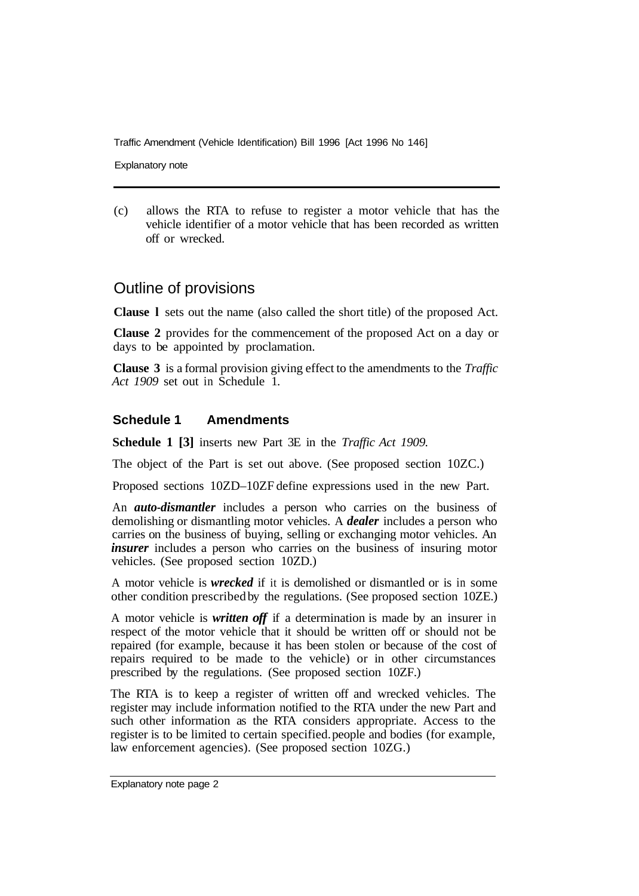Traffic Amendment (Vehicle Identification) Bill 1996 [Act 1996 No 146]

Explanatory note

(c) allows the RTA to refuse to register a motor vehicle that has the vehicle identifier of a motor vehicle that has been recorded as written off or wrecked.

#### Outline of provisions

**Clause l** sets out the name (also called the short title) of the proposed Act.

**Clause 2** provides for the commencement of the proposed Act on a day or days to be appointed by proclamation.

**Clause 3** is a formal provision giving effect to the amendments to the *Traffic Act 1909* set out in Schedule 1.

#### **Schedule 1 Amendments**

**Schedule 1 [3]** inserts new Part 3E in the *Traffic Act 1909.* 

The object of the Part is set out above. (See proposed section 10ZC.)

Proposed sections 10ZD–10ZF define expressions used in the new Part.

An *auto-dismantler* includes a person who carries on the business of demolishing or dismantling motor vehicles. A *dealer* includes a person who carries on the business of buying, selling or exchanging motor vehicles. An *insurer* includes a person who carries on the business of insuring motor vehicles. (See proposed section 10ZD.)

A motor vehicle is *wrecked* if it is demolished or dismantled or is in some other condition prescribed by the regulations. (See proposed section 10ZE.)

A motor vehicle is *written off* if a determination is made by an insurer in respect of the motor vehicle that it should be written off or should not be repaired (for example, because it has been stolen or because of the cost of repairs required to be made to the vehicle) or in other circumstances prescribed by the regulations. (See proposed section 10ZF.)

The RTA is to keep a register of written off and wrecked vehicles. The register may include information notified to the RTA under the new Part and such other information as the RTA considers appropriate. Access to the register is to be limited to certain specified. people and bodies (for example, law enforcement agencies). (See proposed section 10ZG.)